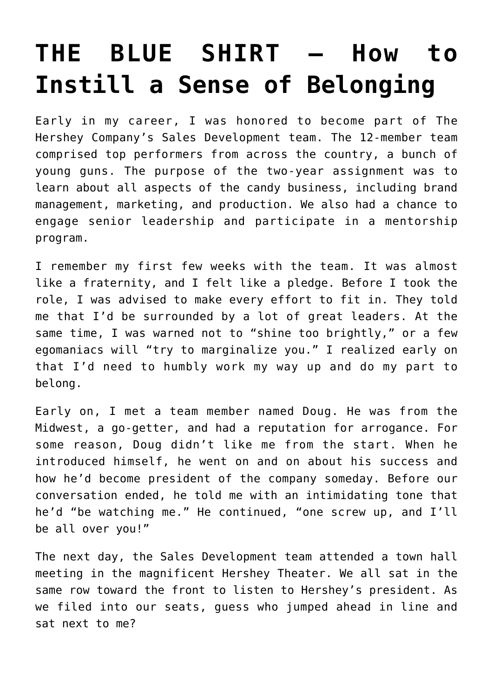## **[THE BLUE SHIRT – How to](https://prestonpoore.com/the-blue-shirt-how-to-instill-a-sense-of-belonging/) [Instill a Sense of Belonging](https://prestonpoore.com/the-blue-shirt-how-to-instill-a-sense-of-belonging/)**

Early in my career, I was honored to become part of The Hershey Company's Sales Development team. The 12-member team comprised top performers from across the country, a bunch of young guns. The purpose of the two-year assignment was to learn about all aspects of the candy business, including brand management, marketing, and production. We also had a chance to engage senior leadership and participate in a mentorship program.

I remember my first few weeks with the team. It was almost like a fraternity, and I felt like a pledge. Before I took the role, I was advised to make every effort to fit in. They told me that I'd be surrounded by a lot of great leaders. At the same time, I was warned not to "shine too brightly," or a few egomaniacs will "try to marginalize you." I realized early on that I'd need to humbly work my way up and do my part to belong.

Early on, I met a team member named Doug. He was from the Midwest, a go-getter, and had a reputation for arrogance. For some reason, Doug didn't like me from the start. When he introduced himself, he went on and on about his success and how he'd become president of the company someday. Before our conversation ended, he told me with an intimidating tone that he'd "be watching me." He continued, "one screw up, and I'll be all over you!"

The next day, the Sales Development team attended a town hall meeting in the magnificent Hershey Theater. We all sat in the same row toward the front to listen to Hershey's president. As we filed into our seats, guess who jumped ahead in line and sat next to me?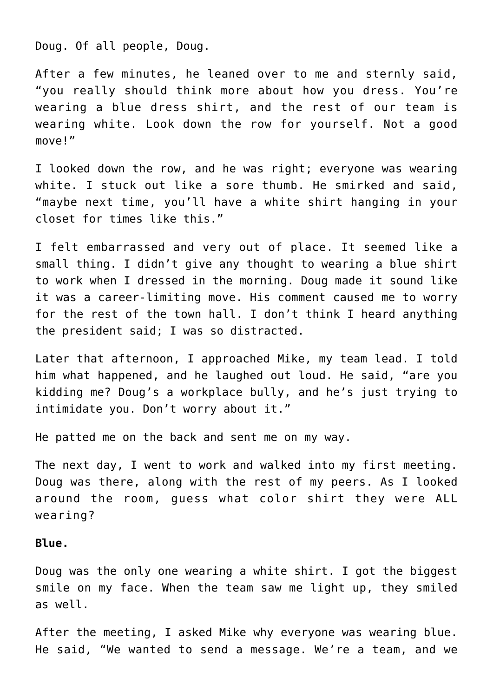Doug. Of all people, Doug.

After a few minutes, he leaned over to me and sternly said, "you really should think more about how you dress. You're wearing a blue dress shirt, and the rest of our team is wearing white. Look down the row for yourself. Not a good move!"

I looked down the row, and he was right; everyone was wearing white. I stuck out like a sore thumb. He smirked and said, "maybe next time, you'll have a white shirt hanging in your closet for times like this."

I felt embarrassed and very out of place. It seemed like a small thing. I didn't give any thought to wearing a blue shirt to work when I dressed in the morning. Doug made it sound like it was a career-limiting move. His comment caused me to worry for the rest of the town hall. I don't think I heard anything the president said; I was so distracted.

Later that afternoon, I approached Mike, my team lead. I told him what happened, and he laughed out loud. He said, "are you kidding me? Doug's a workplace bully, and he's just trying to intimidate you. Don't worry about it."

He patted me on the back and sent me on my way.

The next day, I went to work and walked into my first meeting. Doug was there, along with the rest of my peers. As I looked around the room, guess what color shirt they were ALL wearing?

## **Blue.**

Doug was the only one wearing a white shirt. I got the biggest smile on my face. When the team saw me light up, they smiled as well.

After the meeting, I asked Mike why everyone was wearing blue. He said, "We wanted to send a message. We're a team, and we